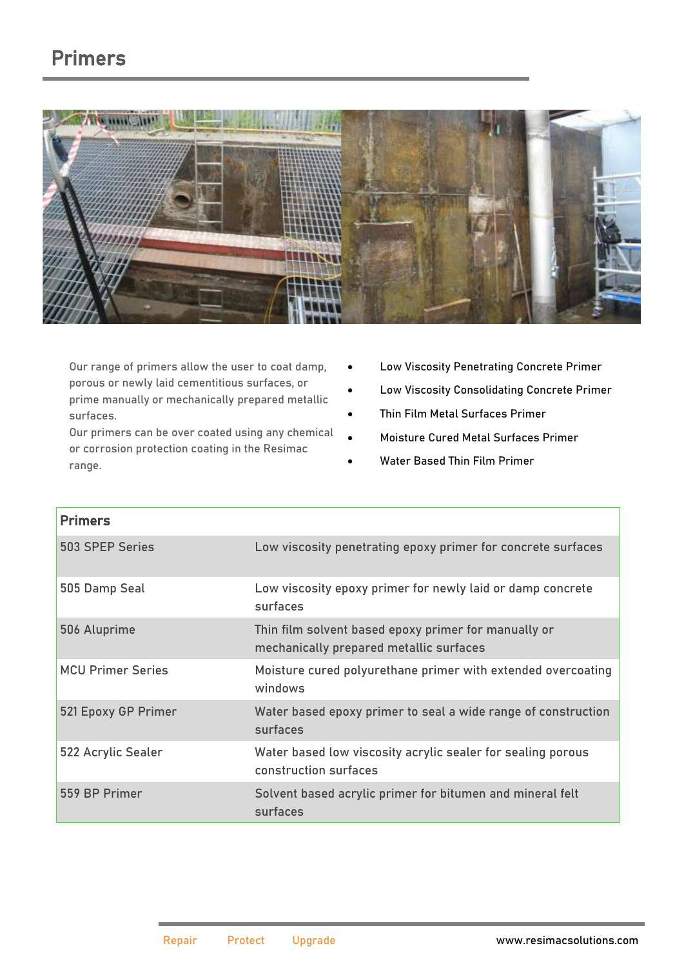## Primers



Our range of primers allow the user to coat damp, porous or newly laid cementitious surfaces, or prime manually or mechanically prepared metallic surfaces.

Our primers can be over coated using any chemical or corrosion protection coating in the Resimac range.

- Low Viscosity Penetrating Concrete Primer
- Low Viscosity Consolidating Concrete Primer
- Thin Film Metal Surfaces Primer
- Moisture Cured Metal Surfaces Primer
- Water Based Thin Film Primer

| <b>Primers</b>           |                                                                                                 |
|--------------------------|-------------------------------------------------------------------------------------------------|
| 503 SPEP Series          | Low viscosity penetrating epoxy primer for concrete surfaces                                    |
| 505 Damp Seal            | Low viscosity epoxy primer for newly laid or damp concrete<br>surfaces                          |
| 506 Aluprime             | Thin film solvent based epoxy primer for manually or<br>mechanically prepared metallic surfaces |
| <b>MCU Primer Series</b> | Moisture cured polyurethane primer with extended overcoating<br>windows                         |
| 521 Epoxy GP Primer      | Water based epoxy primer to seal a wide range of construction<br>surfaces                       |
| 522 Acrylic Sealer       | Water based low viscosity acrylic sealer for sealing porous<br>construction surfaces            |
| 559 BP Primer            | Solvent based acrylic primer for bitumen and mineral felt<br>surfaces                           |